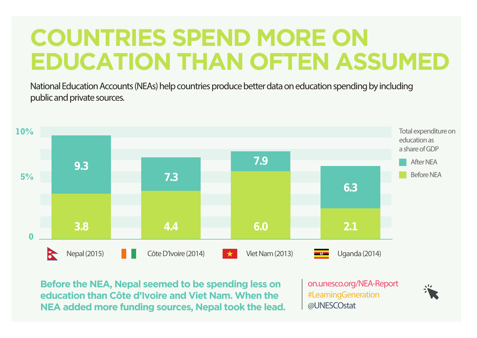## **COUNTRIES SPEND MORE ON EDUCATION THAN OFTEN ASSUMED**

National Education Accounts (NEAs) help countries produce better data on education spending by including public and private sources.



**Before the NEA, Nepal seemed to be spending less on education than Côte d'Ivoire and Viet Nam. When the NEA added more funding sources, Nepal took the lead.**  **@UNESCOstat #LearningGeneration on.unesco.org/NEA-Report**

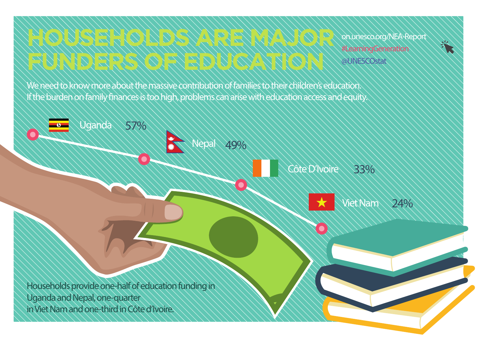**on.unesco.org/NEA-Report**

**#LearningGeneration**

**@UNESCOstat**

We need to know more about the massive contribution of families to their children's education. If the burden on family nances is too high, problems can arise with education access and equity.

Nepal

49%

**HOUSEHOLDS ARE MAJOR** 

**FUNDERS OF EDUCATION**

Côte D'Ivoire 33%



Viet Nam 24%

**Households provide one-half of education funding in Uganda and Nepal, one-quarter in Viet Nam and one-third in Côte d'Ivoire.**

Uganda

 $-6$ 

57%